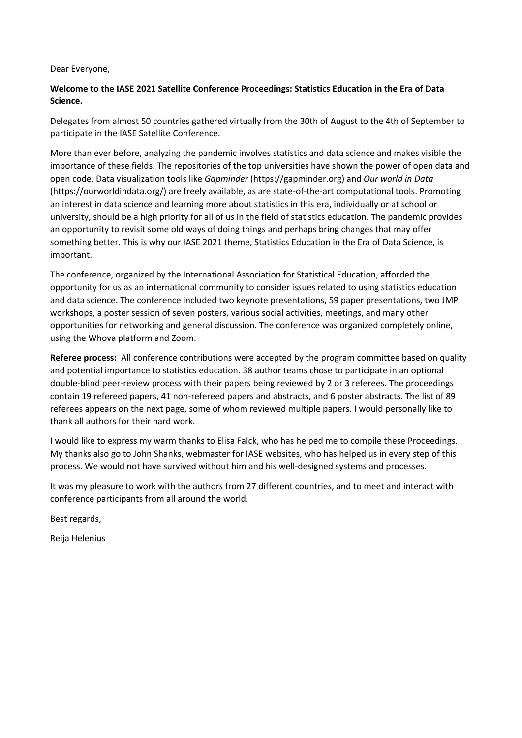## Dear Everyone,

## **Welcome to the IASE 2021 Satellite Conference Proceedings: Statistics Education in the Era of Data Science.**

Delegates from almost 50 countries gathered virtually from the 30th of August to the 4th of September to participate in the IASE Satellite Conference.

More than ever before, analyzing the pandemic involves statistics and data science and makes visible the importance of these fields. The repositories of the top universities have shown the power of open data and open code. Data visualization tools like *Gapminder* (https://gapminder.org) and *Our world in Data* (https://ourworldindata.org/) are freely available, as are state-of-the-art computational tools. Promoting an interest in data science and learning more about statistics in this era, individually or at school or university, should be a high priority for all of us in the field of statistics education. The pandemic provides an opportunity to revisit some old ways of doing things and perhaps bring changes that may offer something better. This is why our IASE 2021 theme, Statistics Education in the Era of Data Science, is important.

The conference, organized by the International Association for Statistical Education, afforded the opportunity for us as an international community to consider issues related to using statistics education and data science. The conference included two keynote presentations, 59 paper presentations, two JMP workshops, a poster session of seven posters, various social activities, meetings, and many other opportunities for networking and general discussion. The conference was organized completely online, using the Whova platform and Zoom.

**Referee process:** All conference contributions were accepted by the program committee based on quality and potential importance to statistics education. 38 author teams chose to participate in an optional double-blind peer-review process with their papers being reviewed by 2 or 3 referees. The proceedings contain 19 refereed papers, 41 non-refereed papers and abstracts, and 6 poster abstracts. The list of 89 referees appears on the next page, some of whom reviewed multiple papers. I would personally like to thank all authors for their hard work.

I would like to express my warm thanks to Elisa Falck, who has helped me to compile these Proceedings. My thanks also go to John Shanks, webmaster for IASE websites, who has helped us in every step of this process. We would not have survived without him and his well-designed systems and processes.

It was my pleasure to work with the authors from 27 different countries, and to meet and interact with conference participants from all around the world.

Best regards,

Reija Helenius